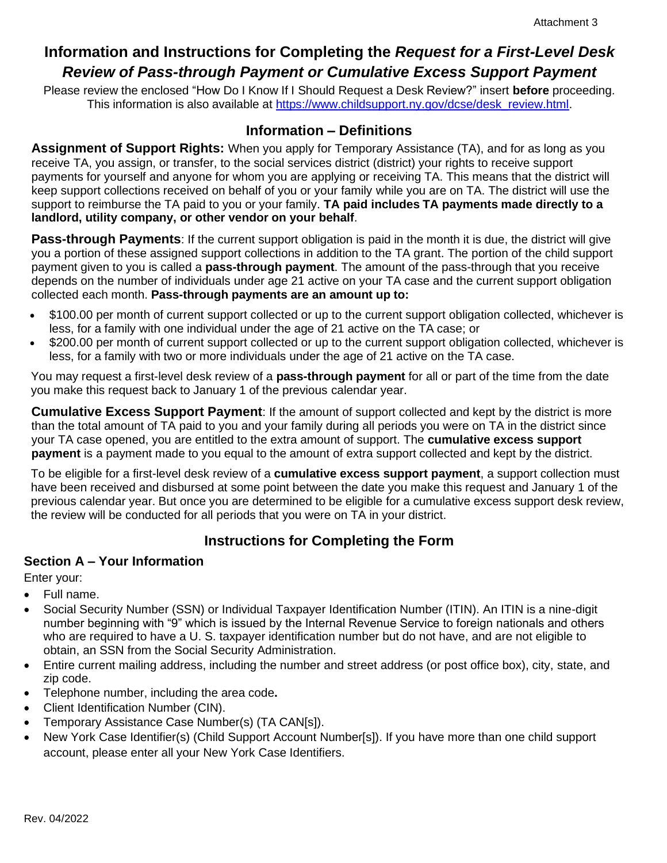# **Information and Instructions for Completing the** *Request for a First-Level Desk Review of Pass-through Payment or Cumulative Excess Support Payment*

Please review the enclosed "How Do I Know If I Should Request a Desk Review?" insert **before** proceeding. This information is also available at [https://www.childsupport.ny.gov/dcse/desk\\_review.html.](https://www.childsupport.ny.gov/dcse/desk_review.html)

## **Information – Definitions**

**Assignment of Support Rights:** When you apply for Temporary Assistance (TA), and for as long as you receive TA, you assign, or transfer, to the social services district (district) your rights to receive support payments for yourself and anyone for whom you are applying or receiving TA. This means that the district will keep support collections received on behalf of you or your family while you are on TA. The district will use the support to reimburse the TA paid to you or your family. **TA paid includes TA payments made directly to a landlord, utility company, or other vendor on your behalf**.

**Pass-through Payments**: If the current support obligation is paid in the month it is due, the district will give you a portion of these assigned support collections in addition to the TA grant. The portion of the child support payment given to you is called a **pass-through payment**. The amount of the pass-through that you receive depends on the number of individuals under age 21 active on your TA case and the current support obligation collected each month. **Pass-through payments are an amount up to:**

- \$100.00 per month of current support collected or up to the current support obligation collected, whichever is less, for a family with one individual under the age of 21 active on the TA case; or
- \$200.00 per month of current support collected or up to the current support obligation collected, whichever is less, for a family with two or more individuals under the age of 21 active on the TA case.

You may request a first-level desk review of a **pass-through payment** for all or part of the time from the date you make this request back to January 1 of the previous calendar year.

**Cumulative Excess Support Payment**: If the amount of support collected and kept by the district is more than the total amount of TA paid to you and your family during all periods you were on TA in the district since your TA case opened, you are entitled to the extra amount of support. The **cumulative excess support payment** is a payment made to you equal to the amount of extra support collected and kept by the district.

To be eligible for a first-level desk review of a **cumulative excess support payment**, a support collection must have been received and disbursed at some point between the date you make this request and January 1 of the previous calendar year. But once you are determined to be eligible for a cumulative excess support desk review, the review will be conducted for all periods that you were on TA in your district.

# **Instructions for Completing the Form**

#### **Section A – Your Information**

Enter your:

- Full name.
- Social Security Number (SSN) or Individual Taxpayer Identification Number (ITIN). An ITIN is a nine-digit number beginning with "9" which is issued by the Internal Revenue Service to foreign nationals and others who are required to have a U. S. taxpayer identification number but do not have, and are not eligible to obtain, an SSN from the Social Security Administration.
- Entire current mailing address, including the number and street address (or post office box), city, state, and zip code.
- Telephone number, including the area code**.**
- Client Identification Number (CIN).
- Temporary Assistance Case Number(s) (TA CAN[s]).
- New York Case Identifier(s) (Child Support Account Number[s]). If you have more than one child support account, please enter all your New York Case Identifiers.